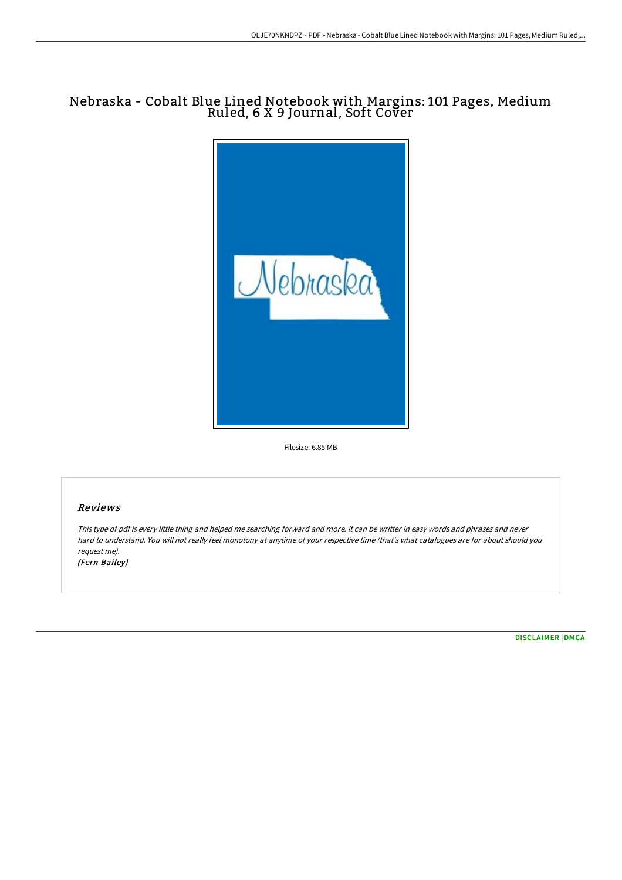## Nebraska - Cobalt Blue Lined Notebook with Margins: 101 Pages, Medium Ruled, 6 X 9 Journal, Soft Cover



Filesize: 6.85 MB

## Reviews

This type of pdf is every little thing and helped me searching forward and more. It can be writter in easy words and phrases and never hard to understand. You will not really feel monotony at anytime of your respective time (that's what catalogues are for about should you request me). (Fern Bailey)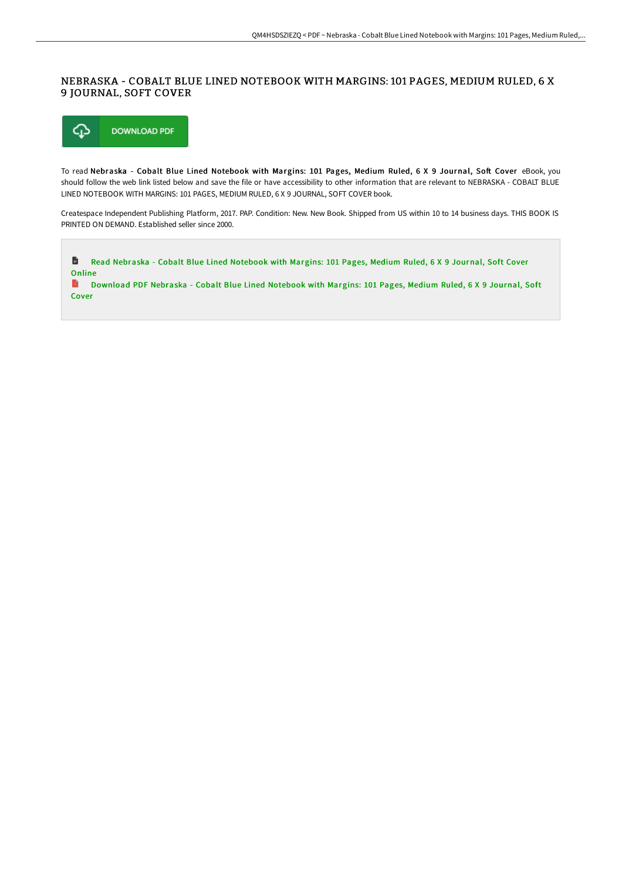## NEBRASKA - COBALT BLUE LINED NOTEBOOK WITH MARGINS: 101 PAGES, MEDIUM RULED, 6 X 9 JOURNAL, SOFT COVER



To read Nebraska - Cobalt Blue Lined Notebook with Margins: 101 Pages, Medium Ruled, 6 X 9 Journal, Soft Cover eBook, you should follow the web link listed below and save the file or have accessibility to other information that are relevant to NEBRASKA - COBALT BLUE LINED NOTEBOOK WITH MARGINS: 101 PAGES, MEDIUM RULED, 6 X 9 JOURNAL, SOFT COVER book.

Createspace Independent Publishing Platform, 2017. PAP. Condition: New. New Book. Shipped from US within 10 to 14 business days. THIS BOOK IS PRINTED ON DEMAND. Established seller since 2000.